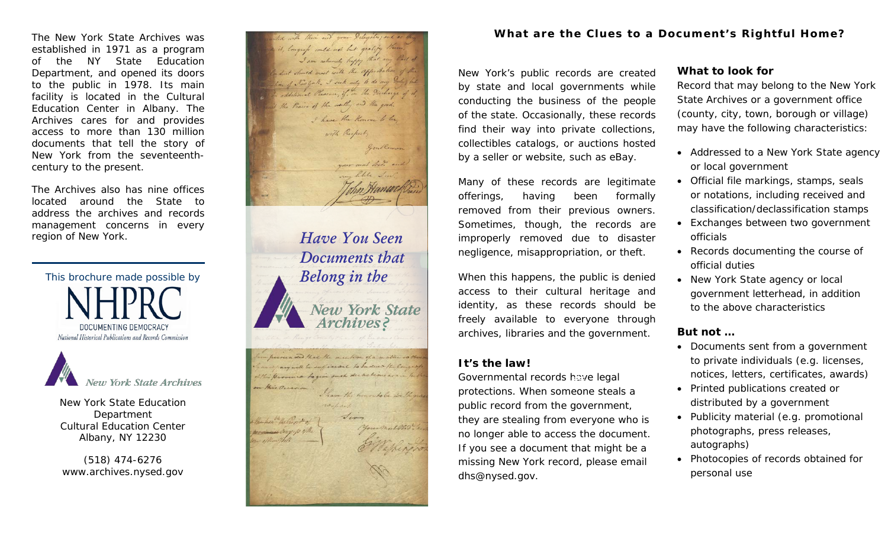The New York State Archives was established in 1971 as a program of the NY State Education Department, and opened its doors to the public in 1978. Its main facility is located in the Cultural Education Center in Albany. The Archives cares for and provides access to more than 130 million documents that tell the story of New York from the seventeenthcentury to the present.

The Archives also has nine offices located around the State to address the archives and records management concerns in every region of New York.

This brochure made possible by DOCUMENTING DEMOCRACY National Historical Publications and Records Commission

**New York State Archives** 

New York State Education Department Cultural Education Center Albany, NY 12230

(518) 474-6276 www.archives.nysed.gov



# **What are the Clues to a Document's Rightful Home?**

New York's public records are created by state and local governments while conducting the business of the people of the state. Occasionally, these records find their way into private collections, collectibles catalogs, or auctions hosted by a seller or website, such as eBay.

Many of these records are legitimate offerings, having been formally removed from their previous owners. Sometimes, though, the records are improperly removed due to disaster negligence, misappropriation, or theft.

When this happens, the public is denied access to their cultural heritage and identity, as these records should be freely available to everyone through archives, libraries and the government.

## **It's the law!**

Governmental records have legal protections. When someone steals a public record from the government, they are stealing from everyone who is no longer able to access the document. If you see a document that might be a missing New York record, please email dhs@nysed.gov.

## **What to look for**

Record that may belong to the New York State Archives or a government office (county, city, town, borough or village) may have the following characteristics:

- Addressed to a New York State agency or local government
- Official file markings, stamps, seals or notations, including received and classification/declassification stamps
- Exchanges between two government officials
- Records documenting the course of official duties
- New York State agency or local government letterhead, in addition to the above characteristics

## **But not …**

- Documents sent from a government to private individuals (e.g. licenses, notices, letters, certificates, awards)
- Printed publications created or distributed by a government
- Publicity material (e.g. promotional photographs, press releases, autographs)
- Photocopies of records obtained for personal use